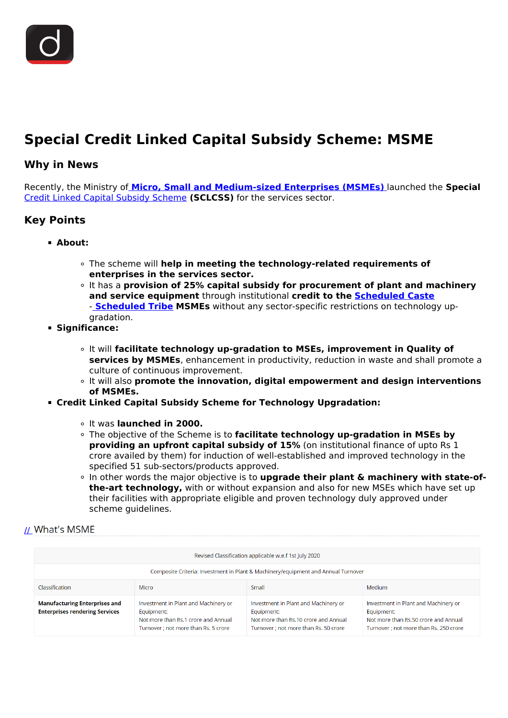<span id="page-0-0"></span>

# **Special Credit Linked Capital Subsidy Scheme: MSME**

### **Why in News**

Recently, the Ministry of **[Micro, Small and Medium-sized Enterprises \(MSMEs\)](/daily-updates/daily-news-analysis/international-msmes-day)** [l](/daily-updates/daily-news-analysis/international-msmes-day)aunched the **Special** [Credit Linked Capital Subsidy Scheme](/daily-updates/daily-news-analysis/credit-linked-capital-subsidy-and-technology-up-gradation-scheme) **(SCLCSS)** for the services sector.

## **Key Points**

- **About:**
	- The scheme will **help in meeting the technology-related requirements of enterprises in the services sector.**
	- It has a **provision of 25% capital subsidy for procurement of plant and machinery and service equipment** through institutional **credit to the [Scheduled Caste](/daily-updates/daily-news-analysis/national-commission-for-scheduled-castes-1)** - **[Scheduled Tribe](/daily-updates/daily-news-analysis/national-commission-for-scheduled-tribes) MSMEs** without any sector-specific restrictions on technology upgradation.
- **Significance:**
	- It will **facilitate technology up-gradation to MSEs, improvement in Quality of services by MSMEs**, enhancement in productivity, reduction in waste and shall promote a culture of continuous improvement.
	- It will also **promote the innovation, digital empowerment and design interventions of MSMEs.**
- **Credit Linked Capital Subsidy Scheme for Technology Upgradation:**
	- It was **launched in 2000.**
	- The objective of the Scheme is to **facilitate technology up-gradation in MSEs by providing an upfront capital subsidy of 15%** (on institutional finance of upto Rs 1 crore availed by them) for induction of well-established and improved technology in the specified 51 sub-sectors/products approved.
	- In other words the major objective is to **upgrade their plant & machinery with state-ofthe-art technology,** with or without expansion and also for new MSEs which have set up their facilities with appropriate eligible and proven technology duly approved under scheme guidelines.

#### [//](https://www.drishtiias.com/images/uploads/1637572397_image1.png) What's MSME

| Revised Classification applicable w.e.f 1st July 2020                             |                                                                                                                                   |                                                                                                                                     |                                                                                                                                      |
|-----------------------------------------------------------------------------------|-----------------------------------------------------------------------------------------------------------------------------------|-------------------------------------------------------------------------------------------------------------------------------------|--------------------------------------------------------------------------------------------------------------------------------------|
| Composite Criteria: Investment in Plant & Machinery/equipment and Annual Turnover |                                                                                                                                   |                                                                                                                                     |                                                                                                                                      |
| Classification                                                                    | Micro                                                                                                                             | Small                                                                                                                               | <b>Medium</b>                                                                                                                        |
| <b>Manufacturing Enterprises and</b><br><b>Enterprises rendering Services</b>     | Investment in Plant and Machinery or<br>Equipment:<br>Not more than Rs.1 crore and Annual<br>Turnover ; not more than Rs. 5 crore | Investment in Plant and Machinery or<br>Equipment:<br>Not more than Rs.10 crore and Annual<br>Turnover : not more than Rs. 50 crore | Investment in Plant and Machinery or<br>Equipment:<br>Not more than Rs.50 crore and Annual<br>Turnover ; not more than Rs. 250 crore |